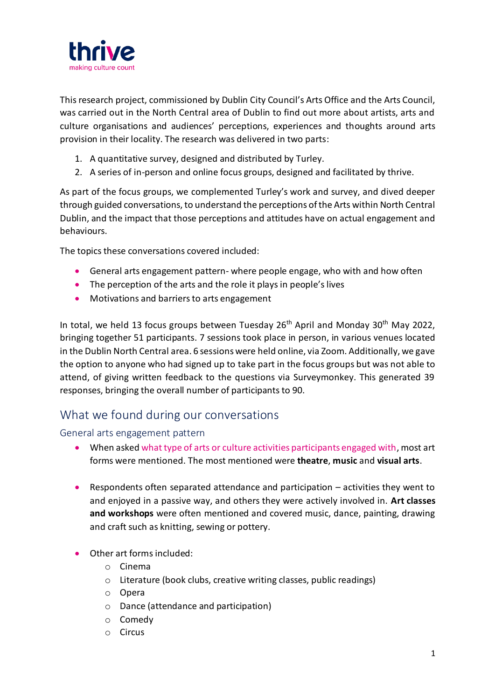

This research project, commissioned by Dublin City Council's Arts Office and the Arts Council, was carried out in the North Central area of Dublin to find out more about artists, arts and culture organisations and audiences' perceptions, experiences and thoughts around arts provision in their locality. The research was delivered in two parts:

- 1. A quantitative survey, designed and distributed by Turley.
- 2. A series of in-person and online focus groups, designed and facilitated by thrive.

As part of the focus groups, we complemented Turley's work and survey, and dived deeper through guided conversations, to understand the perceptions of the Arts within North Central Dublin, and the impact that those perceptions and attitudes have on actual engagement and behaviours.

The topics these conversations covered included:

- General arts engagement pattern- where people engage, who with and how often
- The perception of the arts and the role it plays in people's lives
- Motivations and barriers to arts engagement

In total, we held 13 focus groups between Tuesday  $26<sup>th</sup>$  April and Monday  $30<sup>th</sup>$  May 2022, bringing together 51 participants. 7 sessions took place in person, in various venues located in the Dublin North Central area. 6 sessions were held online, via Zoom. Additionally, we gave the option to anyone who had signed up to take part in the focus groups but was not able to attend, of giving written feedback to the questions via Surveymonkey. This generated 39 responses, bringing the overall number of participants to 90.

# What we found during our conversations

## General arts engagement pattern

- When asked what type of arts or culture activities participants engaged with, most art forms were mentioned. The most mentioned were **theatre**, **music** and **visual arts**.
- Respondents often separated attendance and participation activities they went to and enjoyed in a passive way, and others they were actively involved in. **Art classes and workshops** were often mentioned and covered music, dance, painting, drawing and craft such as knitting, sewing or pottery.
- Other art forms included:
	- o Cinema
	- o Literature (book clubs, creative writing classes, public readings)
	- o Opera
	- o Dance (attendance and participation)
	- o Comedy
	- o Circus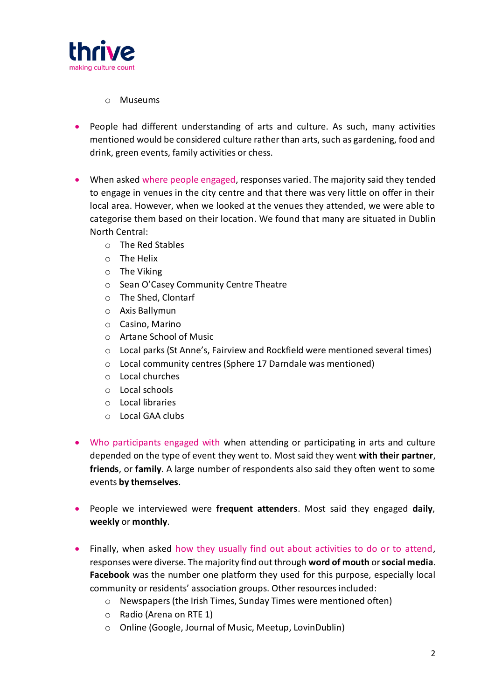

### o Museums

- People had different understanding of arts and culture. As such, many activities mentioned would be considered culture rather than arts, such as gardening, food and drink, green events, family activities or chess.
- When asked where people engaged, responses varied. The majority said they tended to engage in venues in the city centre and that there was very little on offer in their local area. However, when we looked at the venues they attended, we were able to categorise them based on their location. We found that many are situated in Dublin North Central:
	- o The Red Stables
	- o The Helix
	- o The Viking
	- o Sean O'Casey Community Centre Theatre
	- o The Shed, Clontarf
	- o Axis Ballymun
	- o Casino, Marino
	- o Artane School of Music
	- $\circ$  Local parks (St Anne's, Fairview and Rockfield were mentioned several times)
	- o Local community centres (Sphere 17 Darndale was mentioned)
	- o Local churches
	- o Local schools
	- o Local libraries
	- o Local GAA clubs
- Who participants engaged with when attending or participating in arts and culture depended on the type of event they went to. Most said they went **with their partner**, **friends**, or **family**. A large number of respondents also said they often went to some events **by themselves**.
- People we interviewed were **frequent attenders**. Most said they engaged **daily**, **weekly** or **monthly**.
- Finally, when asked how they usually find out about activities to do or to attend, responses were diverse. The majority find out through **word of mouth** or **social media**. **Facebook** was the number one platform they used for this purpose, especially local community or residents' association groups. Other resources included:
	- o Newspapers (the Irish Times, Sunday Times were mentioned often)
	- o Radio (Arena on RTE 1)
	- o Online (Google, Journal of Music, Meetup, LovinDublin)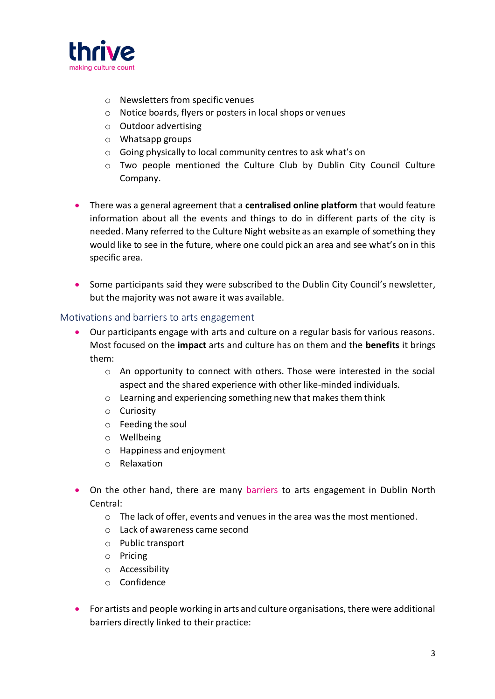

- o Newsletters from specific venues
- o Notice boards, flyers or posters in local shops or venues
- o Outdoor advertising
- o Whatsapp groups
- o Going physically to local community centres to ask what's on
- o Two people mentioned the Culture Club by Dublin City Council Culture Company.
- There was a general agreement that a **centralised online platform** that would feature information about all the events and things to do in different parts of the city is needed. Many referred to the Culture Night website as an example of something they would like to see in the future, where one could pick an area and see what's on in this specific area.
- Some participants said they were subscribed to the Dublin City Council's newsletter, but the majority was not aware it was available.

## Motivations and barriers to arts engagement

- Our participants engage with arts and culture on a regular basis for various reasons. Most focused on the **impact** arts and culture has on them and the **benefits** it brings them:
	- o An opportunity to connect with others. Those were interested in the social aspect and the shared experience with other like-minded individuals.
	- o Learning and experiencing something new that makes them think
	- o Curiosity
	- o Feeding the soul
	- o Wellbeing
	- o Happiness and enjoyment
	- o Relaxation
- On the other hand, there are many barriers to arts engagement in Dublin North Central:
	- $\circ$  The lack of offer, events and venues in the area was the most mentioned.
	- o Lack of awareness came second
	- o Public transport
	- o Pricing
	- o Accessibility
	- o Confidence
- For artists and people working in arts and culture organisations, there were additional barriers directly linked to their practice: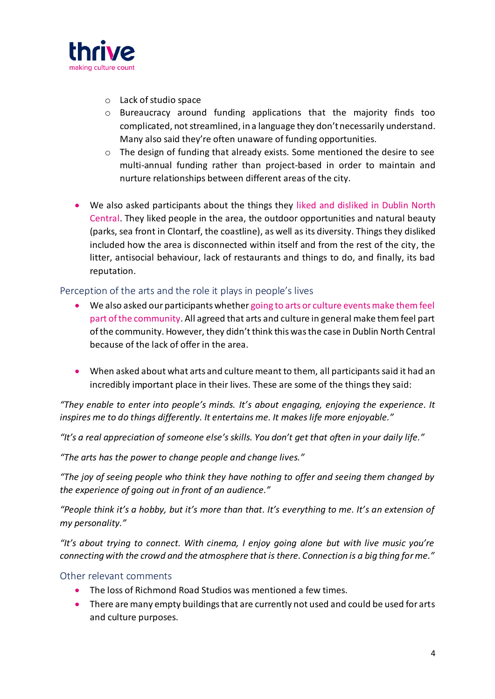

- o Lack of studio space
- o Bureaucracy around funding applications that the majority finds too complicated, not streamlined, in a language they don't necessarily understand. Many also said they're often unaware of funding opportunities.
- o The design of funding that already exists. Some mentioned the desire to see multi-annual funding rather than project-based in order to maintain and nurture relationships between different areas of the city.
- We also asked participants about the things they liked and disliked in Dublin North Central. They liked people in the area, the outdoor opportunities and natural beauty (parks, sea front in Clontarf, the coastline), as well as its diversity. Things they disliked included how the area is disconnected within itself and from the rest of the city, the litter, antisocial behaviour, lack of restaurants and things to do, and finally, its bad reputation.

## Perception of the arts and the role it plays in people's lives

- We also asked our participants whether going to arts or culture events make them feel part of the community. All agreed that arts and culture in general make them feel part of the community. However, they didn't think this was the case in Dublin North Central because of the lack of offer in the area.
- When asked about what arts and culture meant to them, all participants said it had an incredibly important place in their lives. These are some of the things they said:

*"They enable to enter into people's minds. It's about engaging, enjoying the experience. It inspires me to do things differently. It entertains me. It makes life more enjoyable."*

*"It's a real appreciation of someone else's skills. You don't get that often in your daily life."*

*"The arts has the power to change people and change lives."*

*"The joy of seeing people who think they have nothing to offer and seeing them changed by the experience of going out in front of an audience."*

*"People think it's a hobby, but it's more than that. It's everything to me. It's an extension of my personality."*

*"It's about trying to connect. With cinema, I enjoy going alone but with live music you're connecting with the crowd and the atmosphere that is there. Connection is a big thing for me."*

## Other relevant comments

- The loss of Richmond Road Studios was mentioned a few times.
- There are many empty buildings that are currently not used and could be used for arts and culture purposes.